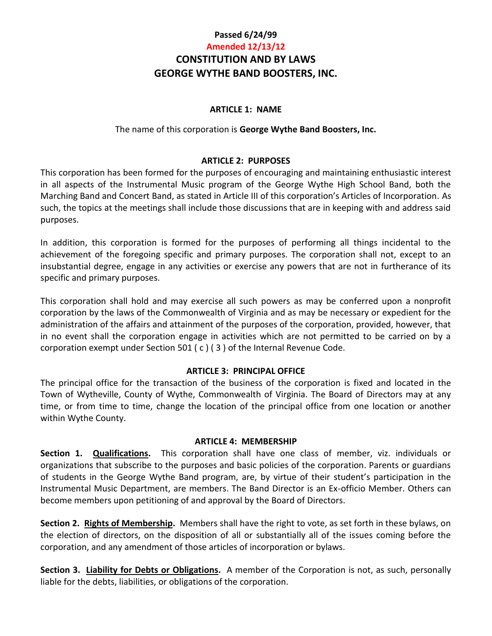# **Passed 6/24/99 Amended 12/13/12 CONSTITUTION AND BY LAWS GEORGE WYTHE BAND BOOSTERS, INC.**

#### **ARTICLE 1: NAME**

#### The name of this corporation is **George Wythe Band Boosters, Inc.**

#### **ARTICLE 2: PURPOSES**

This corporation has been formed for the purposes of encouraging and maintaining enthusiastic interest in all aspects of the Instrumental Music program of the George Wythe High School Band, both the Marching Band and Concert Band, as stated in Article III of this corporation's Articles of Incorporation. As such, the topics at the meetings shall include those discussions that are in keeping with and address said purposes.

In addition, this corporation is formed for the purposes of performing all things incidental to the achievement of the foregoing specific and primary purposes. The corporation shall not, except to an insubstantial degree, engage in any activities or exercise any powers that are not in furtherance of its specific and primary purposes.

This corporation shall hold and may exercise all such powers as may be conferred upon a nonprofit corporation by the laws of the Commonwealth of Virginia and as may be necessary or expedient for the administration of the affairs and attainment of the purposes of the corporation, provided, however, that in no event shall the corporation engage in activities which are not permitted to be carried on by a corporation exempt under Section 501 ( c ) ( 3 ) of the Internal Revenue Code.

#### **ARTICLE 3: PRINCIPAL OFFICE**

The principal office for the transaction of the business of the corporation is fixed and located in the Town of Wytheville, County of Wythe, Commonwealth of Virginia. The Board of Directors may at any time, or from time to time, change the location of the principal office from one location or another within Wythe County.

#### **ARTICLE 4: MEMBERSHIP**

**Section 1. Qualifications.** This corporation shall have one class of member, viz. individuals or organizations that subscribe to the purposes and basic policies of the corporation. Parents or guardians of students in the George Wythe Band program, are, by virtue of their student's participation in the Instrumental Music Department, are members. The Band Director is an Ex-officio Member. Others can become members upon petitioning of and approval by the Board of Directors.

**Section 2. Rights of Membership.** Members shall have the right to vote, as set forth in these bylaws, on the election of directors, on the disposition of all or substantially all of the issues coming before the corporation, and any amendment of those articles of incorporation or bylaws.

**Section 3. Liability for Debts or Obligations.** A member of the Corporation is not, as such, personally liable for the debts, liabilities, or obligations of the corporation.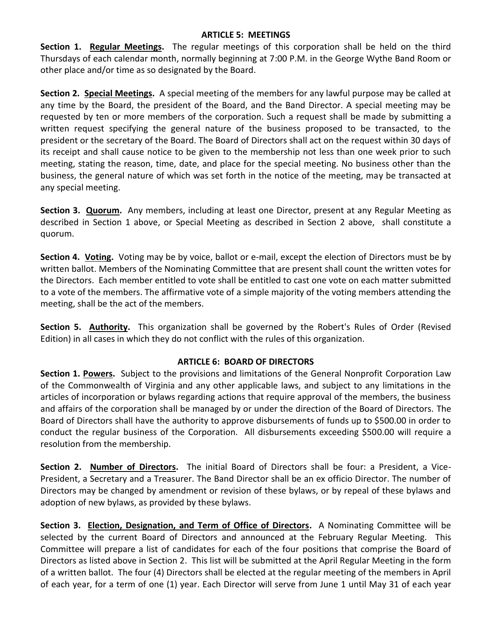#### **ARTICLE 5: MEETINGS**

**Section 1. Regular Meetings.** The regular meetings of this corporation shall be held on the third Thursdays of each calendar month, normally beginning at 7:00 P.M. in the George Wythe Band Room or other place and/or time as so designated by the Board.

**Section 2. Special Meetings.** A special meeting of the members for any lawful purpose may be called at any time by the Board, the president of the Board, and the Band Director. A special meeting may be requested by ten or more members of the corporation. Such a request shall be made by submitting a written request specifying the general nature of the business proposed to be transacted, to the president or the secretary of the Board. The Board of Directors shall act on the request within 30 days of its receipt and shall cause notice to be given to the membership not less than one week prior to such meeting, stating the reason, time, date, and place for the special meeting. No business other than the business, the general nature of which was set forth in the notice of the meeting, may be transacted at any special meeting.

**Section 3. Quorum.** Any members, including at least one Director, present at any Regular Meeting as described in Section 1 above, or Special Meeting as described in Section 2 above, shall constitute a quorum.

**Section 4. Voting.** Voting may be by voice, ballot or e-mail, except the election of Directors must be by written ballot. Members of the Nominating Committee that are present shall count the written votes for the Directors. Each member entitled to vote shall be entitled to cast one vote on each matter submitted to a vote of the members. The affirmative vote of a simple majority of the voting members attending the meeting, shall be the act of the members.

**Section 5. Authority.** This organization shall be governed by the Robert's Rules of Order (Revised Edition) in all cases in which they do not conflict with the rules of this organization.

#### **ARTICLE 6: BOARD OF DIRECTORS**

**Section 1. Powers.** Subject to the provisions and limitations of the General Nonprofit Corporation Law of the Commonwealth of Virginia and any other applicable laws, and subject to any limitations in the articles of incorporation or bylaws regarding actions that require approval of the members, the business and affairs of the corporation shall be managed by or under the direction of the Board of Directors. The Board of Directors shall have the authority to approve disbursements of funds up to \$500.00 in order to conduct the regular business of the Corporation. All disbursements exceeding \$500.00 will require a resolution from the membership.

**Section 2. Number of Directors.** The initial Board of Directors shall be four: a President, a Vice-President, a Secretary and a Treasurer. The Band Director shall be an ex officio Director. The number of Directors may be changed by amendment or revision of these bylaws, or by repeal of these bylaws and adoption of new bylaws, as provided by these bylaws.

**Section 3. Election, Designation, and Term of Office of Directors.** A Nominating Committee will be selected by the current Board of Directors and announced at the February Regular Meeting. This Committee will prepare a list of candidates for each of the four positions that comprise the Board of Directors as listed above in Section 2. This list will be submitted at the April Regular Meeting in the form of a written ballot. The four (4) Directors shall be elected at the regular meeting of the members in April of each year, for a term of one (1) year. Each Director will serve from June 1 until May 31 of each year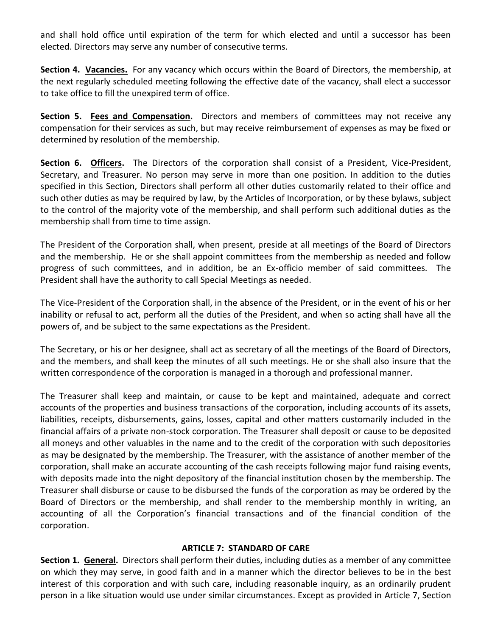and shall hold office until expiration of the term for which elected and until a successor has been elected. Directors may serve any number of consecutive terms.

**Section 4. Vacancies.** For any vacancy which occurs within the Board of Directors, the membership, at the next regularly scheduled meeting following the effective date of the vacancy, shall elect a successor to take office to fill the unexpired term of office.

**Section 5. Fees and Compensation.** Directors and members of committees may not receive any compensation for their services as such, but may receive reimbursement of expenses as may be fixed or determined by resolution of the membership.

**Section 6. Officers.** The Directors of the corporation shall consist of a President, Vice-President, Secretary, and Treasurer. No person may serve in more than one position. In addition to the duties specified in this Section, Directors shall perform all other duties customarily related to their office and such other duties as may be required by law, by the Articles of Incorporation, or by these bylaws, subject to the control of the majority vote of the membership, and shall perform such additional duties as the membership shall from time to time assign.

The President of the Corporation shall, when present, preside at all meetings of the Board of Directors and the membership. He or she shall appoint committees from the membership as needed and follow progress of such committees, and in addition, be an Ex-officio member of said committees. The President shall have the authority to call Special Meetings as needed.

The Vice-President of the Corporation shall, in the absence of the President, or in the event of his or her inability or refusal to act, perform all the duties of the President, and when so acting shall have all the powers of, and be subject to the same expectations as the President.

The Secretary, or his or her designee, shall act as secretary of all the meetings of the Board of Directors, and the members, and shall keep the minutes of all such meetings. He or she shall also insure that the written correspondence of the corporation is managed in a thorough and professional manner.

The Treasurer shall keep and maintain, or cause to be kept and maintained, adequate and correct accounts of the properties and business transactions of the corporation, including accounts of its assets, liabilities, receipts, disbursements, gains, losses, capital and other matters customarily included in the financial affairs of a private non-stock corporation. The Treasurer shall deposit or cause to be deposited all moneys and other valuables in the name and to the credit of the corporation with such depositories as may be designated by the membership. The Treasurer, with the assistance of another member of the corporation, shall make an accurate accounting of the cash receipts following major fund raising events, with deposits made into the night depository of the financial institution chosen by the membership. The Treasurer shall disburse or cause to be disbursed the funds of the corporation as may be ordered by the Board of Directors or the membership, and shall render to the membership monthly in writing, an accounting of all the Corporation's financial transactions and of the financial condition of the corporation.

#### **ARTICLE 7: STANDARD OF CARE**

**Section 1. General.** Directors shall perform their duties, including duties as a member of any committee on which they may serve, in good faith and in a manner which the director believes to be in the best interest of this corporation and with such care, including reasonable inquiry, as an ordinarily prudent person in a like situation would use under similar circumstances. Except as provided in Article 7, Section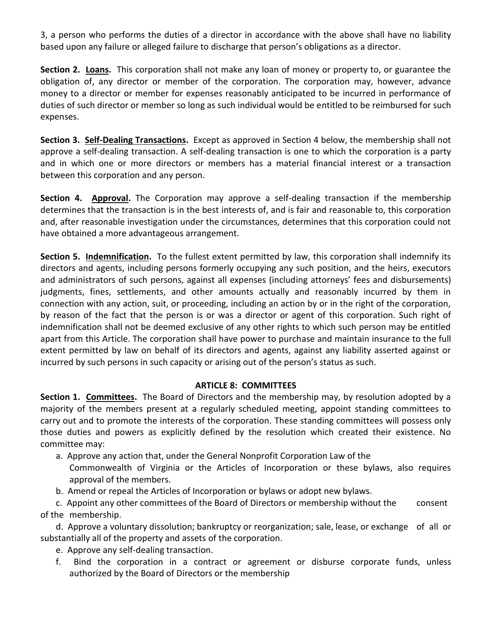3, a person who performs the duties of a director in accordance with the above shall have no liability based upon any failure or alleged failure to discharge that person's obligations as a director.

**Section 2. Loans.** This corporation shall not make any loan of money or property to, or guarantee the obligation of, any director or member of the corporation. The corporation may, however, advance money to a director or member for expenses reasonably anticipated to be incurred in performance of duties of such director or member so long as such individual would be entitled to be reimbursed for such expenses.

**Section 3. Self-Dealing Transactions.** Except as approved in Section 4 below, the membership shall not approve a self-dealing transaction. A self-dealing transaction is one to which the corporation is a party and in which one or more directors or members has a material financial interest or a transaction between this corporation and any person.

**Section 4. Approval.** The Corporation may approve a self-dealing transaction if the membership determines that the transaction is in the best interests of, and is fair and reasonable to, this corporation and, after reasonable investigation under the circumstances, determines that this corporation could not have obtained a more advantageous arrangement.

**Section 5. Indemnification.** To the fullest extent permitted by law, this corporation shall indemnify its directors and agents, including persons formerly occupying any such position, and the heirs, executors and administrators of such persons, against all expenses (including attorneys' fees and disbursements) judgments, fines, settlements, and other amounts actually and reasonably incurred by them in connection with any action, suit, or proceeding, including an action by or in the right of the corporation, by reason of the fact that the person is or was a director or agent of this corporation. Such right of indemnification shall not be deemed exclusive of any other rights to which such person may be entitled apart from this Article. The corporation shall have power to purchase and maintain insurance to the full extent permitted by law on behalf of its directors and agents, against any liability asserted against or incurred by such persons in such capacity or arising out of the person's status as such.

#### **ARTICLE 8: COMMITTEES**

**Section 1. Committees.** The Board of Directors and the membership may, by resolution adopted by a majority of the members present at a regularly scheduled meeting, appoint standing committees to carry out and to promote the interests of the corporation. These standing committees will possess only those duties and powers as explicitly defined by the resolution which created their existence. No committee may:

a. Approve any action that, under the General Nonprofit Corporation Law of the

Commonwealth of Virginia or the Articles of Incorporation or these bylaws, also requires approval of the members.

b. Amend or repeal the Articles of Incorporation or bylaws or adopt new bylaws.

 c. Appoint any other committees of the Board of Directors or membership without the consent of the membership.

 d. Approve a voluntary dissolution; bankruptcy or reorganization; sale, lease, or exchange of all or substantially all of the property and assets of the corporation.

- e. Approve any self-dealing transaction.
- f. Bind the corporation in a contract or agreement or disburse corporate funds, unless authorized by the Board of Directors or the membership